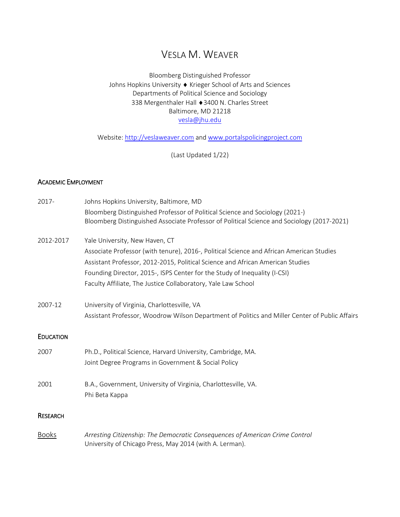# VESLA M. WEAVER

# Bloomberg Distinguished Professor Johns Hopkins University ♦ Krieger School of Arts and Sciences Departments of Political Science and Sociology 338 Mergenthaler Hall ♦3400 N. Charles Street Baltimore, MD 21218 [vesla@jhu.edu](mailto:vesla.weaver@yale.edu)

Website: [http://veslaweaver.com](http://veslaweaver.com/) an[d www.portalspolicingproject.com](http://www.portalspolicingproject.com/)

(Last Updated 1/22)

### ACADEMIC EMPLOYMENT

| 2017-            | Johns Hopkins University, Baltimore, MD                                                                                                                                                                                                                                                                                                                    |
|------------------|------------------------------------------------------------------------------------------------------------------------------------------------------------------------------------------------------------------------------------------------------------------------------------------------------------------------------------------------------------|
|                  | Bloomberg Distinguished Professor of Political Science and Sociology (2021-)<br>Bloomberg Distinguished Associate Professor of Political Science and Sociology (2017-2021)                                                                                                                                                                                 |
| 2012-2017        | Yale University, New Haven, CT<br>Associate Professor (with tenure), 2016-, Political Science and African American Studies<br>Assistant Professor, 2012-2015, Political Science and African American Studies<br>Founding Director, 2015-, ISPS Center for the Study of Inequality (I-CSI)<br>Faculty Affiliate, The Justice Collaboratory, Yale Law School |
| 2007-12          | University of Virginia, Charlottesville, VA<br>Assistant Professor, Woodrow Wilson Department of Politics and Miller Center of Public Affairs                                                                                                                                                                                                              |
| <b>EDUCATION</b> |                                                                                                                                                                                                                                                                                                                                                            |
| 2007             | Ph.D., Political Science, Harvard University, Cambridge, MA.<br>Joint Degree Programs in Government & Social Policy                                                                                                                                                                                                                                        |
| 2001             | B.A., Government, University of Virginia, Charlottesville, VA.<br>Phi Beta Kappa                                                                                                                                                                                                                                                                           |
| <b>RESEARCH</b>  |                                                                                                                                                                                                                                                                                                                                                            |
| <b>Books</b>     | Arresting Citizenship: The Democratic Consequences of American Crime Control<br>University of Chicago Press, May 2014 (with A. Lerman).                                                                                                                                                                                                                    |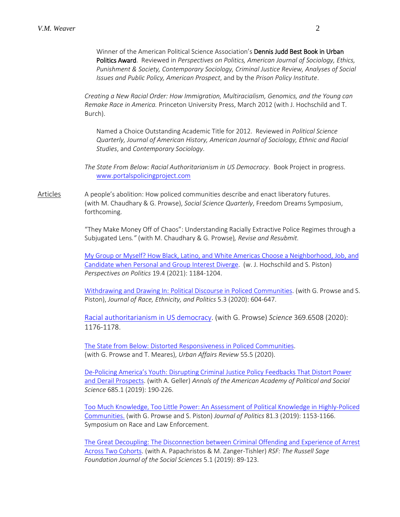Winner of the American Political Science Association's Dennis Judd Best Book in Urban Politics Award. Reviewed in *Perspectives on Politics, American Journal of Sociology, Ethics, Punishment & Society, Contemporary Sociology, Criminal Justice Review, Analyses of Social Issues and Public Policy, American Prospect*, and by the *Prison Policy Institute*.

*Creating a New Racial Order: How Immigration, Multiracialism, Genomics, and the Young can Remake Race in America.* Princeton University Press, March 2012 (with J. Hochschild and T. Burch).

Named a Choice Outstanding Academic Title for 2012. Reviewed in *Political Science Quarterly, Journal of American History, American Journal of Sociology, Ethnic and Racial Studies*, and *Contemporary Sociology*.

*The State From Below: Racial Authoritarianism in US Democracy*. Book Project in progress. [www.portalspolicingproject.com](http://www.portalspolicingproject.com/)

Articles A people's abolition: How policed communities describe and enact liberatory futures. (with M. Chaudhary & G. Prowse), *Social Science Quarterly*, Freedom Dreams Symposium, forthcoming.

> "They Make Money Off of Chaos": Understanding Racially Extractive Police Regimes through a Subjugated Lens*."* (with M. Chaudhary & G. Prowse)*, Revise and Resubmit.*

[My Group or Myself? How Black, Latino, and White Americas Choose a Neighborhood, Job, and](https://www.doi.org/10.1017/S153759272000482X)  [Candidate when Personal and Group Interest Diverge.](https://www.doi.org/10.1017/S153759272000482X) (w. J. Hochschild and S. Piston) *Perspectives on Politics* 19.4 (2021): 1184-1204.

[Withdrawing and Drawing In: Political Discourse in Policed Communities.](http://dx.doi.org/10.1017/rep.2019.50) (with G. Prowse and S. Piston), *Journal of Race, Ethnicity, and Politics* 5.3 (2020): 604-647.

[Racial authoritarianism in US democracy.](https://science.sciencemag.org/content/369/6508/1176.summary) (with G. Prowse) *Science* 369.6508 (2020): 1176-1178.

[The State from Below: Distorted Responsiveness in Policed Communities.](https://doi.org/10.1177%2F1078087419844831) (with G. Prowse and T. Meares), *Urban Affairs Review* 55.5 (2020).

[De-Policing America's Youth: Disrupting Criminal Justice Policy Feedbacks That Distort Power](https://doi.org/10.1177/0002716219871899)  [and Derail Prospects.](https://doi.org/10.1177/0002716219871899) (with A. Geller) *Annals of the American Academy of Political and Social Science* 685.1 (2019): 190-226.

[Too Much Knowledge, Too Little Power: An Assessment of Political Knowledge](https://veslaweaver.files.wordpress.com/2019/06/too-much-knowledge-too-little-power.pdf) in Highly-Policed [Communities.](https://veslaweaver.files.wordpress.com/2019/06/too-much-knowledge-too-little-power.pdf) (with G. Prowse and S. Piston) *Journal of Politics* 81.3 (2019): 1153-1166. Symposium on Race and Law Enforcement.

[The Great Decoupling: The Disconnection between Criminal Offending and Experience of Arrest](https://www.rsfjournal.org/content/5/1/89)  [Across Two Cohorts.](https://www.rsfjournal.org/content/5/1/89) (with A. Papachristos & M. Zanger-Tishler) *RSF: The Russell Sage Foundation Journal of the Social Sciences* 5.1 (2019): 89-123.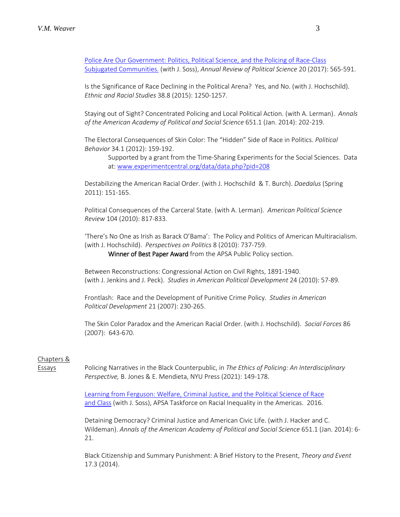[Police Are Our Government: Politics, Political Science, and the Policing of Race-Class](http://www.annualreviews.org/doi/abs/10.1146/annurev-polisci-060415-093825) [Subjugated Communities.](http://www.annualreviews.org/doi/abs/10.1146/annurev-polisci-060415-093825) (with J. Soss), *Annual Review of Political Science* 20 (2017): 565-591.

Is the Significance of Race Declining in the Political Arena? Yes, and No. (with J. Hochschild). *Ethnic and Racial Studies* 38.8 (2015): 1250-1257.

Staying out of Sight? Concentrated Policing and Local Political Action. (with A. Lerman). *Annals of the American Academy of Political and Social Science* 651.1 (Jan. 2014): 202-219.

The Electoral Consequences of Skin Color: The "Hidden" Side of Race in Politics. *Political Behavior* 34.1 (2012): 159-192.

Supported by a grant from the Time-Sharing Experiments for the Social Sciences. Data at: [www.experimentcentral.org/data/data.php?pid=208](http://www.experimentcentral.org/data/data.php?pid=208)

Destabilizing the American Racial Order. (with J. Hochschild & T. Burch). *Daedalus* (Spring 2011): 151-165.

Political Consequences of the Carceral State. (with A. Lerman). *American Political Science Review* 104 (2010): 817-833.

'There's No One as Irish as Barack O'Bama': The Policy and Politics of American Multiracialism. (with J. Hochschild). *Perspectives on Politics* 8 (2010): 737-759.

Winner of Best Paper Award from the APSA Public Policy section.

Between Reconstructions: Congressional Action on Civil Rights, 1891-1940. (with J. Jenkins and J. Peck). *Studies in American Political Development* 24 (2010): 57-89.

Frontlash: Race and the Development of Punitive Crime Policy. *Studies in American Political Development* 21 (2007): 230-265.

The Skin Color Paradox and the American Racial Order. (with J. Hochschild). *Social Forces* 86 (2007): 643-670.

# Chapters &

Essays Policing Narratives in the Black Counterpublic, in *The Ethics of Policing: An Interdisciplinary Perspective,* B. Jones & E. Mendieta, NYU Press (2021): 149-178.

> [Learning from Ferguson: Welfare, Criminal Justice, and the Political Science of Race](http://www.apsanet.org/inequalities)  [and Class](http://www.apsanet.org/inequalities) (with J. Soss), APSA Taskforce on Racial Inequality in the Americas. 2016.

Detaining Democracy? Criminal Justice and American Civic Life. (with J. Hacker and C. Wildeman). *Annals of the American Academy of Political and Social Science* 651.1 (Jan. 2014): 6- 21.

Black Citizenship and Summary Punishment: A Brief History to the Present, *Theory and Event* 17.3 (2014).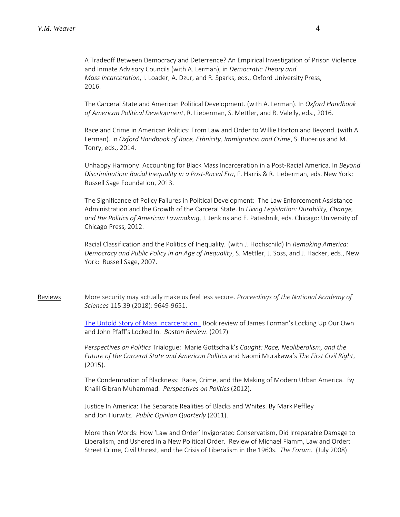A Tradeoff Between Democracy and Deterrence? An Empirical Investigation of Prison Violence and Inmate Advisory Councils (with A. Lerman), in *Democratic Theory and Mass Incarceration*, I. Loader, A. Dzur, and R. Sparks, eds., Oxford University Press, 2016.

The Carceral State and American Political Development. (with A. Lerman). In *Oxford Handbook of American Political Development*, R. Lieberman, S. Mettler, and R. Valelly, eds., 2016.

Race and Crime in American Politics: From Law and Order to Willie Horton and Beyond. (with A. Lerman). In *Oxford Handbook of Race, Ethnicity, Immigration and Crime*, S. Bucerius and M. Tonry, eds., 2014.

Unhappy Harmony: Accounting for Black Mass Incarceration in a Post-Racial America. In *Beyond Discrimination: Racial Inequality in a Post-Racial Era*, F. Harris & R. Lieberman, eds. New York: Russell Sage Foundation, 2013.

The Significance of Policy Failures in Political Development: The Law Enforcement Assistance Administration and the Growth of the Carceral State. In *Living Legislation: Durability, Change, and the Politics of American Lawmaking*, J. Jenkins and E. Patashnik, eds. Chicago: University of Chicago Press, 2012.

Racial Classification and the Politics of Inequality. (with J. Hochschild) In *Remaking America: Democracy and Public Policy in an Age of Inequality*, S. Mettler, J. Soss, and J. Hacker, eds., New York: Russell Sage, 2007.

Reviews More security may actually make us feel less secure. *Proceedings of the National Academy of Sciences* 115.39 (2018): 9649-9651.

> The Untold Story [of Mass Incarceration.](http://bostonreview.net/race-law-justice/vesla-m-weaver-untold-story-mass-incarceration) Book review of James Forman's Locking Up Our Own and John Pfaff's Locked In. *Boston Review*. (2017)

> *Perspectives on Politics* Trialogue: Marie Gottschalk's *Caught: Race, Neoliberalism, and the Future of the Carceral State and American Politics* and Naomi Murakawa's *The First Civil Right*, (2015).

> The Condemnation of Blackness: Race, Crime, and the Making of Modern Urban America. By Khalil Gibran Muhammad. *Perspectives on Politics* (2012).

Justice In America: The Separate Realities of Blacks and Whites. By Mark Peffley and Jon Hurwitz. *Public Opinion Quarterly* (2011).

More than Words: How 'Law and Order' Invigorated Conservatism, Did Irreparable Damage to Liberalism, and Ushered in a New Political Order. Review of Michael Flamm, Law and Order: Street Crime, Civil Unrest, and the Crisis of Liberalism in the 1960s. *The Forum*. (July 2008)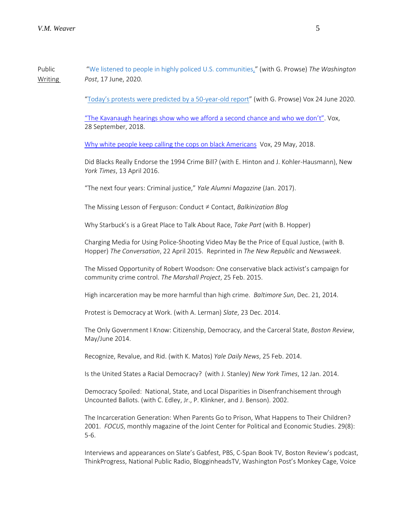Public ["We listened to people in highly policed U.S. communities,](https://nam02.safelinks.protection.outlook.com/?url=https%3A%2F%2Fwww.washingtonpost.com%2Fpolitics%2F2020%2F06%2F17%2Fwe-listened-people-highly-policed-us-communities%2F&data=04%7C01%7Cvesla%40jhu.edu%7C38da37bdc2ce42ce3e7f08d8769bee22%7C9fa4f438b1e6473b803f86f8aedf0dec%7C0%7C0%7C637389759373828099%7CUnknown%7CTWFpbGZsb3d8eyJWIjoiMC4wLjAwMDAiLCJQIjoiV2luMzIiLCJBTiI6Ik1haWwiLCJXVCI6Mn0%3D%7C1000&sdata=jupewkmjczKoqB9Rlh%2FtA263SGGjoOq2wHyDLoXv3dw%3D&reserved=0)" (with G. Prowse) *The Washington* Writing *Post*, 17 June, 2020.

["Today's protests were predicted by a 50-year-old report"](https://nam02.safelinks.protection.outlook.com/?url=https%3A%2F%2Fwww.vox.com%2Ffirst-person%2F2020%2F6%2F24%2F21299649%2Fgeorge-floyd-protests-police-brutality-kerner-commission&data=04%7C01%7Cvesla%40jhu.edu%7C38da37bdc2ce42ce3e7f08d8769bee22%7C9fa4f438b1e6473b803f86f8aedf0dec%7C0%7C0%7C637389759373838089%7CUnknown%7CTWFpbGZsb3d8eyJWIjoiMC4wLjAwMDAiLCJQIjoiV2luMzIiLCJBTiI6Ik1haWwiLCJXVCI6Mn0%3D%7C1000&sdata=EhaMsn0tPUbqXp36XpTXnElwnAo2MaAdT57i6gkVVyE%3D&reserved=0) (with G. Prowse) Vox 24 June 2020.

["The Kavanaugh hearings show who we afford a second chance and who we don't".](https://www.vox.com/first-person/2018/9/28/17913708/brett-kavanaugh-hearing-police-race-teens) Vox, 28 September, 2018.

[Why white people keep calling the cops on black Americans](https://www.vox.com/first-person/2018/5/17/17362100/starbucks-racial-profiling-yale-airbnb-911) Vox, 29 May, 2018.

Did Blacks Really Endorse the 1994 Crime Bill? (with E. Hinton and J. Kohler-Hausmann), New *York Times*, 13 April 2016.

"The next four years: Criminal justice," *Yale Alumni Magazine* (Jan. 2017).

The Missing Lesson of Ferguson: Conduct ≠ Contact, *Balkinization Blog*

Why Starbuck's is a Great Place to Talk About Race, *Take Part* (with B. Hopper)

Charging Media for Using Police-Shooting Video May Be the Price of Equal Justice, (with B. Hopper) *The Conversation*, 22 April 2015. Reprinted in *The New Republic* and *Newsweek*.

The Missed Opportunity of Robert Woodson: One conservative black activist's campaign for community crime control. *The Marshall Project*, 25 Feb. 2015.

High incarceration may be more harmful than high crime. *Baltimore Sun*, Dec. 21, 2014.

Protest is Democracy at Work. (with A. Lerman) *Slate*, 23 Dec. 2014.

The Only Government I Know: Citizenship, Democracy, and the Carceral State, *Boston Review*, May/June 2014.

Recognize, Revalue, and Rid. (with K. Matos) *Yale Daily News*, 25 Feb. 2014.

Is the United States a Racial Democracy? (with J. Stanley) *New York Times*, 12 Jan. 2014.

Democracy Spoiled: National, State, and Local Disparities in Disenfranchisement through Uncounted Ballots. (with C. Edley, Jr., P. Klinkner, and J. Benson). 2002.

The Incarceration Generation: When Parents Go to Prison, What Happens to Their Children? 2001. *FOCUS*, monthly magazine of the Joint Center for Political and Economic Studies. 29(8): 5-6.

Interviews and appearances on Slate's Gabfest, PBS, C-Span Book TV, Boston Review's podcast, ThinkProgress, National Public Radio, BlogginheadsTV, Washington Post's Monkey Cage, Voice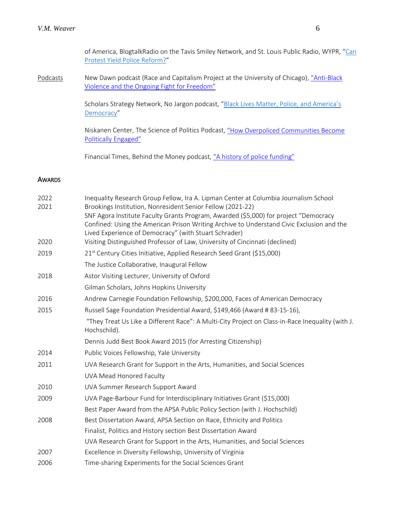of America, BlogtalkRadio on the Tavis Smiley Network, and St. Louis Public Radio, WYPR, "Can [Protest Yield Police Reform?"](https://nam02.safelinks.protection.outlook.com/?url=https%3A%2F%2Fwww.wypr.org%2Fpost%2Fcan-protest-yield-police-reform&data=04%7C01%7Cvesla%40jhu.edu%7C38da37bdc2ce42ce3e7f08d8769bee22%7C9fa4f438b1e6473b803f86f8aedf0dec%7C0%7C0%7C637389759373868073%7CUnknown%7CTWFpbGZsb3d8eyJWIjoiMC4wLjAwMDAiLCJQIjoiV2luMzIiLCJBTiI6Ik1haWwiLCJXVCI6Mn0%3D%7C1000&sdata=o3792apDgG263%2FlUijPAxAh3ikQmyqtmRxv386JO%2FTo%3D&reserved=0)

Podcasts New Dawn podcast (Race and Capitalism Project at the University of Chicago), "Anti-Black [Violence and the Ongoing Fight for Freedom"](https://podcasts.apple.com/us/podcast/anti-black-violence-and-the-ongoing-fight-for-freedom/id1213696020?i=1000485116162)

> Scholars Strategy Network, No Jargon podcast, "Black Lives Matter, Police, and America's [Democracy"](https://nam02.safelinks.protection.outlook.com/?url=https%3A%2F%2Fscholars.org%2Fpodcast%2Fblack-lives-matter-police-and-americas-democracy&data=04%7C01%7Cvesla%40jhu.edu%7C38da37bdc2ce42ce3e7f08d8769bee22%7C9fa4f438b1e6473b803f86f8aedf0dec%7C0%7C0%7C637389759373888055%7CUnknown%7CTWFpbGZsb3d8eyJWIjoiMC4wLjAwMDAiLCJQIjoiV2luMzIiLCJBTiI6Ik1haWwiLCJXVCI6Mn0%3D%7C1000&sdata=9Lwtgfq1WVOaoIC6AWZfTMlzR7dsEgyyY%2B6RGYANcjU%3D&reserved=0)

Niskanen Center, The Science of Politics Podcast[, "How Overpoliced Communities Become](https://www.niskanencenter.org/how-overpoliced-communities-become-politically-engaged/)  [Politically Engaged"](https://www.niskanencenter.org/how-overpoliced-communities-become-politically-engaged/)

Financial Times, Behind the Money podcast, ["A history of police funding"](https://www.ft.com/content/a6d56dd2-fd2c-4047-a502-c6c6d9dc3f90)

#### AWARDS

| 2022<br>2021 | Inequality Research Group Fellow, Ira A. Lipman Center at Columbia Journalism School<br>Brookings Institution, Nonresident Senior Fellow (2021-22)                                |
|--------------|-----------------------------------------------------------------------------------------------------------------------------------------------------------------------------------|
|              | SNF Agora Institute Faculty Grants Program, Awarded (\$5,000) for project "Democracy<br>Confined: Using the American Prison Writing Archive to Understand Civic Exclusion and the |
|              | Lived Experience of Democracy" (with Stuart Schrader)                                                                                                                             |
| 2020         | Visiting Distinguished Professor of Law, University of Cincinnati (declined)                                                                                                      |
| 2019         | 21 <sup>st</sup> Century Cities Initiative, Applied Research Seed Grant (\$15,000)                                                                                                |
|              | The Justice Collaborative, Inaugural Fellow                                                                                                                                       |
| 2018         | Astor Visiting Lecturer, University of Oxford                                                                                                                                     |
|              | Gilman Scholars, Johns Hopkins University                                                                                                                                         |
| 2016         | Andrew Carnegie Foundation Fellowship, \$200,000, Faces of American Democracy                                                                                                     |
| 2015         | Russell Sage Foundation Presidential Award, \$149,466 (Award # 83-15-16),                                                                                                         |
|              | "They Treat Us Like a Different Race": A Multi-City Project on Class-in-Race Inequality (with J.<br>Hochschild).                                                                  |
|              | Dennis Judd Best Book Award 2015 (for Arresting Citizenship)                                                                                                                      |
| 2014         | Public Voices Fellowship, Yale University                                                                                                                                         |
| 2011         | UVA Research Grant for Support in the Arts, Humanities, and Social Sciences                                                                                                       |
|              | UVA Mead Honored Faculty                                                                                                                                                          |
| 2010         | UVA Summer Research Support Award                                                                                                                                                 |
| 2009         | UVA Page-Barbour Fund for Interdisciplinary Initiatives Grant (\$15,000)                                                                                                          |
|              | Best Paper Award from the APSA Public Policy Section (with J. Hochschild)                                                                                                         |
| 2008         | Best Dissertation Award, APSA Section on Race, Ethnicity and Politics                                                                                                             |
|              | Finalist, Politics and History section Best Dissertation Award                                                                                                                    |
|              | UVA Research Grant for Support in the Arts, Humanities, and Social Sciences                                                                                                       |
| 2007         | Excellence in Diversity Fellowship, University of Virginia                                                                                                                        |
| 2006         | Time-sharing Experiments for the Social Sciences Grant                                                                                                                            |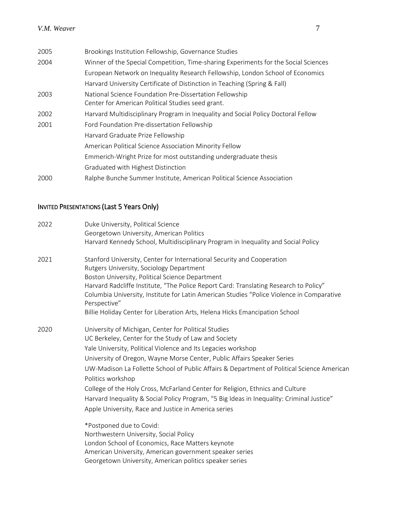| 2005 | Brookings Institution Fellowship, Governance Studies                                                         |
|------|--------------------------------------------------------------------------------------------------------------|
| 2004 | Winner of the Special Competition, Time-sharing Experiments for the Social Sciences                          |
|      | European Network on Inequality Research Fellowship, London School of Economics                               |
|      | Harvard University Certificate of Distinction in Teaching (Spring & Fall)                                    |
| 2003 | National Science Foundation Pre-Dissertation Fellowship<br>Center for American Political Studies seed grant. |
| 2002 | Harvard Multidisciplinary Program in Inequality and Social Policy Doctoral Fellow                            |
| 2001 | Ford Foundation Pre-dissertation Fellowship                                                                  |
|      | Harvard Graduate Prize Fellowship                                                                            |
|      | American Political Science Association Minority Fellow                                                       |
|      | Emmerich-Wright Prize for most outstanding undergraduate thesis                                              |
|      | Graduated with Highest Distinction                                                                           |
| 2000 | Ralphe Bunche Summer Institute, American Political Science Association                                       |
|      |                                                                                                              |

# INVITED PRESENTATIONS (Last 5 Years Only)

| 2022 | Duke University, Political Science                                                                              |
|------|-----------------------------------------------------------------------------------------------------------------|
|      | Georgetown University, American Politics                                                                        |
|      | Harvard Kennedy School, Multidisciplinary Program in Inequality and Social Policy                               |
| 2021 | Stanford University, Center for International Security and Cooperation                                          |
|      | Rutgers University, Sociology Department                                                                        |
|      | Boston University, Political Science Department                                                                 |
|      | Harvard Radcliffe Institute, "The Police Report Card: Translating Research to Policy"                           |
|      | Columbia University, Institute for Latin American Studies "Police Violence in Comparative<br>Perspective"       |
|      | Billie Holiday Center for Liberation Arts, Helena Hicks Emancipation School                                     |
| 2020 | University of Michigan, Center for Political Studies                                                            |
|      | UC Berkeley, Center for the Study of Law and Society                                                            |
|      | Yale University, Political Violence and Its Legacies workshop                                                   |
|      | University of Oregon, Wayne Morse Center, Public Affairs Speaker Series                                         |
|      | UW-Madison La Follette School of Public Affairs & Department of Political Science American<br>Politics workshop |
|      | College of the Holy Cross, McFarland Center for Religion, Ethnics and Culture                                   |
|      | Harvard Inequality & Social Policy Program, "5 Big Ideas in Inequality: Criminal Justice"                       |
|      | Apple University, Race and Justice in America series                                                            |
|      | *Postponed due to Covid:                                                                                        |
|      | Northwestern University, Social Policy                                                                          |
|      | London School of Economics, Race Matters keynote                                                                |
|      | American University, American government speaker series                                                         |
|      | Georgetown University, American politics speaker series                                                         |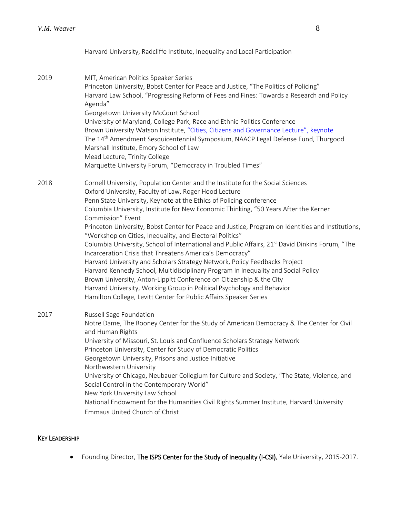Harvard University, Radcliffe Institute, Inequality and Local Participation

2019 MIT, American Politics Speaker Series Princeton University, Bobst Center for Peace and Justice, "The Politics of Policing" Harvard Law School, "Progressing Reform of Fees and Fines: Towards a Research and Policy Agenda" Georgetown University McCourt School University of Maryland, College Park, Race and Ethnic Politics Conference Brown University Watson Institute[, "Cities, Citizens and Governance Lecture", keynote](https://www.youtube.com/watch?v=DjymRn5d7-Y&feature=youtu.be) The 14th Amendment Sesquicentennial Symposium, NAACP Legal Defense Fund, Thurgood Marshall Institute, Emory School of Law Mead Lecture, Trinity College Marquette University Forum, "Democracy in Troubled Times" 2018 Cornell University, Population Center and the Institute for the Social Sciences Oxford University, Faculty of Law, Roger Hood Lecture Penn State University, Keynote at the Ethics of Policing conference Columbia University, Institute for New Economic Thinking, "50 Years After the Kerner Commission" Event Princeton University, Bobst Center for Peace and Justice, Program on Identities and Institutions, "Workshop on Cities, Inequality, and Electoral Politics" Columbia University, School of International and Public Affairs, 21<sup>st</sup> David Dinkins Forum, "The Incarceration Crisis that Threatens America's Democracy" Harvard University and Scholars Strategy Network, Policy Feedbacks Project Harvard Kennedy School, Multidisciplinary Program in Inequality and Social Policy Brown University, Anton-Lippitt Conference on Citizenship & the City Harvard University, Working Group in Political Psychology and Behavior Hamilton College, Levitt Center for Public Affairs Speaker Series 2017 Russell Sage Foundation Notre Dame, The Rooney Center for the Study of American Democracy & The Center for Civil and Human Rights University of Missouri, St. Louis and Confluence Scholars Strategy Network Princeton University, Center for Study of Democratic Politics Georgetown University, Prisons and Justice Initiative Northwestern University University of Chicago, Neubauer Collegium for Culture and Society, "The State, Violence, and Social Control in the Contemporary World" New York University Law School National Endowment for the Humanities Civil Rights Summer Institute, Harvard University Emmaus United Church of Christ

# KEY LEADERSHIP

• Founding Director, The ISPS Center for the Study of Inequality (I-CSI), Yale University, 2015-2017.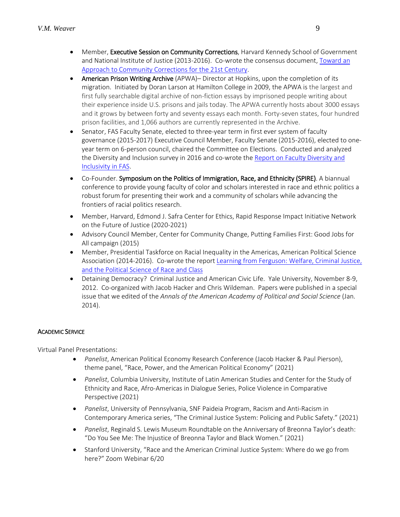- Member, Executive Session on Community Corrections, Harvard Kennedy School of Government and National Institute of Justice (2013-2016). Co-wrote the consensus document, Toward an [Approach to Community Corrections for the 21st Century.](https://www.hks.harvard.edu/sites/default/files/centers/wiener/programs/pcj/files/Consensus_Final2.pdf)
- American Prison Writing Archive (APWA)– Director at Hopkins, upon the completion of its migration. Initiated by Doran Larson at Hamilton College in 2009, the APWA is the largest and first fully searchable digital archive of non-fiction essays by imprisoned people writing about their experience inside U.S. prisons and jails today. The APWA currently hosts about 3000 essays and it grows by between forty and seventy essays each month. Forty-seven states, four hundred prison facilities, and 1,066 authors are currently represented in the Archive.
- Senator, FAS Faculty Senate, elected to three-year term in first ever system of faculty governance (2015-2017) Executive Council Member, Faculty Senate (2015-2016), elected to oneyear term on 6-person council, chaired the Committee on Elections. Conducted and analyzed the Diversity and Inclusion survey in 2016 and co-wrote the [Report on Faculty Diversity and](https://fassenate.yale.edu/sites/default/files/files/FAS-Senate_2016-05-19_Diversity-and-Inclusivity.pdf)  [Inclusivity in FAS.](https://fassenate.yale.edu/sites/default/files/files/FAS-Senate_2016-05-19_Diversity-and-Inclusivity.pdf)
- Co-Founder. Symposium on the Politics of Immigration, Race, and Ethnicity (SPIRE). A biannual conference to provide young faculty of color and scholars interested in race and ethnic politics a robust forum for presenting their work and a community of scholars while advancing the frontiers of racial politics research.
- Member, Harvard, Edmond J. Safra Center for Ethics, Rapid Response Impact Initiative Network on the Future of Justice (2020-2021)
- Advisory Council Member, Center for Community Change, Putting Families First: Good Jobs for All campaign (2015)
- Member, Presidential Taskforce on Racial Inequality in the Americas, American Political Science Association (2014-2016). Co-wrote the repor[t Learning from Ferguson: Welfare, Criminal Justice,](http://www.apsanet.org/inequalities)  [and the Political Science of Race and Class](http://www.apsanet.org/inequalities)
- Detaining Democracy? Criminal Justice and American Civic Life. Yale University, November 8-9, 2012. Co-organized with Jacob Hacker and Chris Wildeman. Papers were published in a special issue that we edited of the *Annals of the American Academy of Political and Social Science* (Jan. 2014).

# ACADEMIC SERVICE

Virtual Panel Presentations:

- *Panelist*, American Political Economy Research Conference (Jacob Hacker & Paul Pierson), theme panel, "Race, Power, and the American Political Economy" (2021)
- *Panelist*, Columbia University, Institute of Latin American Studies and Center for the Study of Ethnicity and Race, Afro-Americas in Dialogue Series, Police Violence in Comparative Perspective (2021)
- *Panelist*, University of Pennsylvania, SNF Paideia Program, Racism and Anti-Racism in Contemporary America series, "The Criminal Justice System: Policing and Public Safety." (2021)
- *Panelist*, Reginald S. Lewis Museum Roundtable on the Anniversary of Breonna Taylor's death: "Do You See Me: The Injustice of Breonna Taylor and Black Women." (2021)
- Stanford University, "Race and the American Criminal Justice System: Where do we go from here?" Zoom Webinar 6/20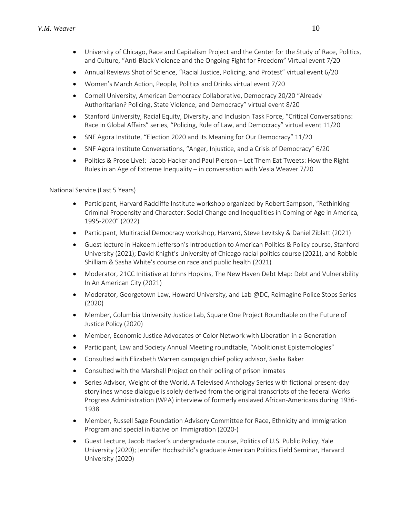- University of Chicago, Race and Capitalism Project and the Center for the Study of Race, Politics, and Culture, "Anti-Black Violence and the Ongoing Fight for Freedom" Virtual event 7/20
- Annual Reviews Shot of Science, "Racial Justice, Policing, and Protest" virtual event 6/20
- Women's March Action, People, Politics and Drinks virtual event 7/20
- Cornell University, American Democracy Collaborative, Democracy 20/20 "Already Authoritarian? Policing, State Violence, and Democracy" virtual event 8/20
- Stanford University, Racial Equity, Diversity, and Inclusion Task Force, "Critical Conversations: Race in Global Affairs" series, "Policing, Rule of Law, and Democracy" virtual event 11/20
- SNF Agora Institute, "Election 2020 and its Meaning for Our Democracy" 11/20
- SNF Agora Institute Conversations, "Anger, Injustice, and a Crisis of Democracy" 6/20
- Politics & Prose Live!: Jacob Hacker and Paul Pierson Let Them Eat Tweets: How the Right Rules in an Age of Extreme Inequality – in conversation with Vesla Weaver 7/20

National Service (Last 5 Years)

- Participant, Harvard Radcliffe Institute workshop organized by Robert Sampson, "Rethinking Criminal Propensity and Character: Social Change and Inequalities in Coming of Age in America, 1995-2020" (2022)
- Participant, Multiracial Democracy workshop, Harvard, Steve Levitsky & Daniel Ziblatt (2021)
- Guest lecture in Hakeem Jefferson's Introduction to American Politics & Policy course, Stanford University (2021); David Knight's University of Chicago racial politics course (2021), and Robbie Shilliam & Sasha White's course on race and public health (2021)
- Moderator, 21CC Initiative at Johns Hopkins, The New Haven Debt Map: Debt and Vulnerability In An American City (2021)
- Moderator, Georgetown Law, Howard University, and Lab @DC, Reimagine Police Stops Series (2020)
- Member, Columbia University Justice Lab, Square One Project Roundtable on the Future of Justice Policy (2020)
- Member, Economic Justice Advocates of Color Network with Liberation in a Generation
- Participant, Law and Society Annual Meeting roundtable, "Abolitionist Epistemologies"
- Consulted with Elizabeth Warren campaign chief policy advisor, Sasha Baker
- Consulted with the Marshall Project on their polling of prison inmates
- Series Advisor, Weight of the World, A Televised Anthology Series with fictional present-day storylines whose dialogue is solely derived from the original transcripts of the federal Works Progress Administration (WPA) interview of formerly enslaved African-Americans during 1936- 1938
- Member, Russell Sage Foundation Advisory Committee for Race, Ethnicity and Immigration Program and special initiative on Immigration (2020-)
- Guest Lecture, Jacob Hacker's undergraduate course, Politics of U.S. Public Policy, Yale University (2020); Jennifer Hochschild's graduate American Politics Field Seminar, Harvard University (2020)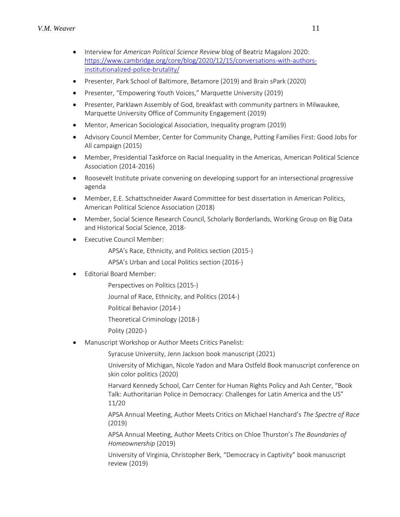- Interview for *American Political Science Review* blog of Beatriz Magaloni 2020: [https://www.cambridge.org/core/blog/2020/12/15/conversations-with-authors](https://www.cambridge.org/core/blog/2020/12/15/conversations-with-authors-institutionalized-police-brutality/)[institutionalized-police-brutality/](https://www.cambridge.org/core/blog/2020/12/15/conversations-with-authors-institutionalized-police-brutality/)
- Presenter, Park School of Baltimore, Betamore (2019) and Brain sPark (2020)
- Presenter, "Empowering Youth Voices," Marquette University (2019)
- Presenter, Parklawn Assembly of God, breakfast with community partners in Milwaukee, Marquette University Office of Community Engagement (2019)
- Mentor, American Sociological Association, Inequality program (2019)
- Advisory Council Member, Center for Community Change, Putting Families First: Good Jobs for All campaign (2015)
- Member, Presidential Taskforce on Racial Inequality in the Americas, American Political Science Association (2014-2016)
- Roosevelt Institute private convening on developing support for an intersectional progressive agenda
- Member, E.E. Schattschneider Award Committee for best dissertation in American Politics, American Political Science Association (2018)
- Member, Social Science Research Council, Scholarly Borderlands, Working Group on Big Data and Historical Social Science, 2018-
- **Executive Council Member:** 
	- APSA's Race, Ethnicity, and Politics section (2015-)
	- APSA's Urban and Local Politics section (2016-)
- Editorial Board Member:
	- Perspectives on Politics (2015-)
	- Journal of Race, Ethnicity, and Politics (2014-)
	- Political Behavior (2014-)
	- Theoretical Criminology (2018-)
	- Polity (2020-)
- Manuscript Workshop or Author Meets Critics Panelist:
	- Syracuse University, Jenn Jackson book manuscript (2021)
	- University of Michigan, Nicole Yadon and Mara Ostfeld Book manuscript conference on skin color politics (2020)
	- Harvard Kennedy School, Carr Center for Human Rights Policy and Ash Center, "Book Talk: Authoritarian Police in Democracy: Challenges for Latin America and the US" 11/20
	- APSA Annual Meeting, Author Meets Critics on Michael Hanchard's *The Spectre of Race* (2019)
	- APSA Annual Meeting, Author Meets Critics on Chloe Thurston's *The Boundaries of Homeownership* (2019)
	- University of Virginia, Christopher Berk, "Democracy in Captivity" book manuscript review (2019)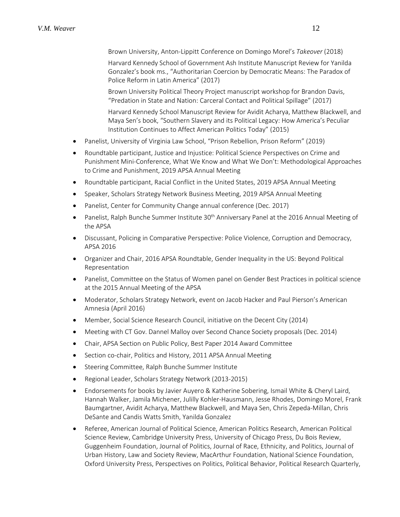Brown University, Anton-Lippitt Conference on Domingo Morel's *Takeover* (2018)

Harvard Kennedy School of Government Ash Institute Manuscript Review for Yanilda Gonzalez's book ms., "Authoritarian Coercion by Democratic Means: The Paradox of Police Reform in Latin America" (2017)

Brown University Political Theory Project manuscript workshop for Brandon Davis, "Predation in State and Nation: Carceral Contact and Political Spillage" (2017)

Harvard Kennedy School Manuscript Review for Avidit Acharya, Matthew Blackwell, and Maya Sen's book, "Southern Slavery and its Political Legacy: How America's Peculiar Institution Continues to Affect American Politics Today" (2015)

- Panelist, University of Virginia Law School, "Prison Rebellion, Prison Reform" (2019)
- Roundtable participant, Justice and Injustice: Political Science Perspectives on Crime and Punishment Mini-Conference, What We Know and What We Don't: Methodological Approaches to Crime and Punishment, 2019 APSA Annual Meeting
- Roundtable participant, Racial Conflict in the United States, 2019 APSA Annual Meeting
- Speaker, Scholars Strategy Network Business Meeting, 2019 APSA Annual Meeting
- Panelist, Center for Community Change annual conference (Dec. 2017)
- Panelist, Ralph Bunche Summer Institute 30<sup>th</sup> Anniversary Panel at the 2016 Annual Meeting of the APSA
- Discussant, Policing in Comparative Perspective: Police Violence, Corruption and Democracy, APSA 2016
- Organizer and Chair, 2016 APSA Roundtable, Gender Inequality in the US: Beyond Political Representation
- Panelist, Committee on the Status of Women panel on Gender Best Practices in political science at the 2015 Annual Meeting of the APSA
- Moderator, Scholars Strategy Network, event on Jacob Hacker and Paul Pierson's American Amnesia (April 2016)
- Member, Social Science Research Council, initiative on the Decent City (2014)
- Meeting with CT Gov. Dannel Malloy over Second Chance Society proposals (Dec. 2014)
- Chair, APSA Section on Public Policy, Best Paper 2014 Award Committee
- Section co-chair, Politics and History, 2011 APSA Annual Meeting
- Steering Committee, Ralph Bunche Summer Institute
- Regional Leader, Scholars Strategy Network (2013-2015)
- Endorsements for books by Javier Auyero & Katherine Sobering, Ismail White & Cheryl Laird, Hannah Walker, Jamila Michener, Julilly Kohler-Hausmann, Jesse Rhodes, Domingo Morel, Frank Baumgartner, Avidit Acharya, Matthew Blackwell, and Maya Sen, Chris Zepeda-Millan, Chris DeSante and Candis Watts Smith, Yanilda Gonzalez
- Referee, American Journal of Political Science, American Politics Research, American Political Science Review, Cambridge University Press, University of Chicago Press, Du Bois Review, Guggenheim Foundation, Journal of Politics, Journal of Race, Ethnicity, and Politics, Journal of Urban History, Law and Society Review, MacArthur Foundation, National Science Foundation, Oxford University Press, Perspectives on Politics, Political Behavior, Political Research Quarterly,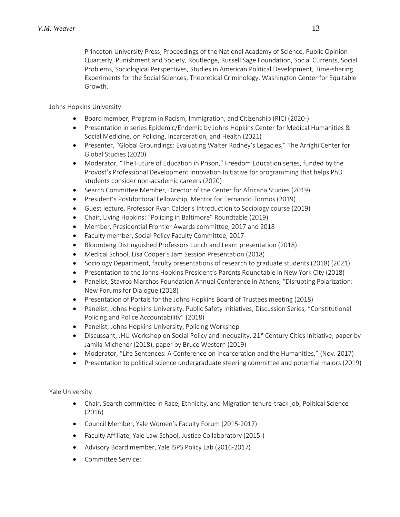Princeton University Press, Proceedings of the National Academy of Science, Public Opinion Quarterly, Punishment and Society, Routledge, Russell Sage Foundation, Social Currents, Social Problems, Sociological Perspectives, Studies in American Political Development, Time-sharing Experiments for the Social Sciences, Theoretical Criminology, Washington Center for Equitable Growth.

Johns Hopkins University

- Board member, Program in Racism, Immigration, and Citizenship (RIC) (2020-)
- Presentation in series Epidemic/Endemic by Johns Hopkins Center for Medical Humanities & Social Medicine, on Policing, Incarceration, and Health (2021)
- Presenter, "Global Groundings: Evaluating Walter Rodney's Legacies," The Arrighi Center for Global Studies (2020)
- Moderator, "The Future of Education in Prison," Freedom Education series, funded by the Provost's Professional Development Innovation Initiative for programming that helps PhD students consider non-academic careers (2020)
- Search Committee Member, Director of the Center for Africana Studies (2019)
- President's Postdoctoral Fellowship, Mentor for Fernando Tormos (2019)
- Guest lecture, Professor Ryan Calder's Introduction to Sociology course (2019)
- Chair, Living Hopkins: "Policing in Baltimore" Roundtable (2019)
- Member, Presidential Frontier Awards committee, 2017 and 2018
- Faculty member, Social Policy Faculty Committee, 2017-
- Bloomberg Distinguished Professors Lunch and Learn presentation (2018)
- Medical School, Lisa Cooper's Jam Session Presentation (2018)
- Sociology Department, faculty presentations of research to graduate students (2018) (2021)
- Presentation to the Johns Hopkins President's Parents Roundtable in New York City (2018)
- Panelist, Stavros Niarchos Foundation Annual Conference in Athens, "Disrupting Polarization: New Forums for Dialogue (2018)
- Presentation of Portals for the Johns Hopkins Board of Trustees meeting (2018)
- Panelist, Johns Hopkins University, Public Safety Initiatives, Discussion Series, "Constitutional Policing and Police Accountability" (2018)
- Panelist, Johns Hopkins University, Policing Workshop
- Discussant, JHU Workshop on Social Policy and Inequality,  $21^{st}$  Century Cities Initiative, paper by Jamila Michener (2018), paper by Bruce Western (2019)
- Moderator, "Life Sentences: A Conference on Incarceration and the Humanities," (Nov. 2017)
- Presentation to political science undergraduate steering committee and potential majors (2019)

Yale University

- Chair, Search committee in Race, Ethnicity, and Migration tenure-track job, Political Science (2016)
- Council Member, Yale Women's Faculty Forum (2015-2017)
- Faculty Affiliate, Yale Law School, Justice Collaboratory (2015-)
- Advisory Board member, Yale ISPS Policy Lab (2016-2017)
- Committee Service: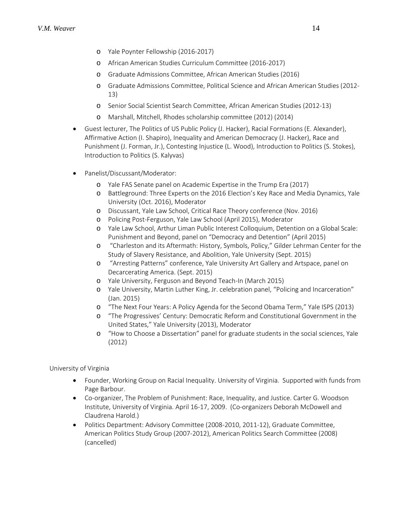- o Yale Poynter Fellowship (2016-2017)
- o African American Studies Curriculum Committee (2016-2017)
- o Graduate Admissions Committee, African American Studies (2016)
- o Graduate Admissions Committee, Political Science and African American Studies (2012- 13)
- o Senior Social Scientist Search Committee, African American Studies (2012-13)
- o Marshall, Mitchell, Rhodes scholarship committee (2012) (2014)
- Guest lecturer, The Politics of US Public Policy (J. Hacker), Racial Formations (E. Alexander), Affirmative Action (I. Shapiro), Inequality and American Democracy (J. Hacker), Race and Punishment (J. Forman, Jr.), Contesting Injustice (L. Wood), Introduction to Politics (S. Stokes), Introduction to Politics (S. Kalyvas)
- Panelist/Discussant/Moderator:
	- o Yale FAS Senate panel on Academic Expertise in the Trump Era (2017)
	- o Battleground: Three Experts on the 2016 Election's Key Race and Media Dynamics, Yale University (Oct. 2016), Moderator
	- o Discussant, Yale Law School, Critical Race Theory conference (Nov. 2016)
	- o Policing Post-Ferguson, Yale Law School (April 2015), Moderator
	- o Yale Law School, Arthur Liman Public Interest Colloquium, Detention on a Global Scale: Punishment and Beyond, panel on "Democracy and Detention" (April 2015)
	- o "Charleston and its Aftermath: History, Symbols, Policy," Gilder Lehrman Center for the Study of Slavery Resistance, and Abolition, Yale University (Sept. 2015)
	- o "Arresting Patterns" conference, Yale University Art Gallery and Artspace, panel on Decarcerating America. (Sept. 2015)
	- o Yale University, Ferguson and Beyond Teach-In (March 2015)
	- o Yale University, Martin Luther King, Jr. celebration panel, "Policing and Incarceration" (Jan. 2015)
	- o "The Next Four Years: A Policy Agenda for the Second Obama Term," Yale ISPS (2013)
	- o "The Progressives' Century: Democratic Reform and Constitutional Government in the United States," Yale University (2013), Moderator
	- o "How to Choose a Dissertation" panel for graduate students in the social sciences, Yale (2012)

University of Virginia

- Founder, Working Group on Racial Inequality. University of Virginia. Supported with funds from Page Barbour.
- Co-organizer, The Problem of Punishment: Race, Inequality, and Justice. Carter G. Woodson Institute, University of Virginia. April 16-17, 2009. (Co-organizers Deborah McDowell and Claudrena Harold.)
- Politics Department: Advisory Committee (2008-2010, 2011-12), Graduate Committee, American Politics Study Group (2007-2012), American Politics Search Committee (2008) (cancelled)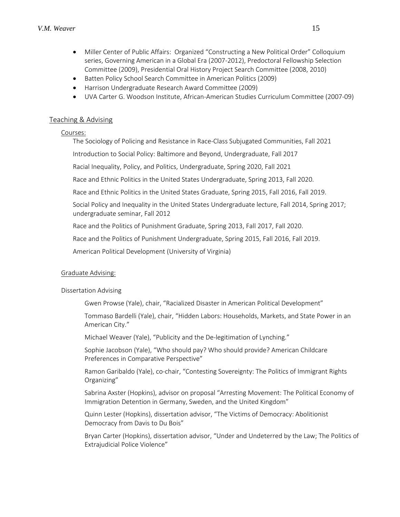- Miller Center of Public Affairs: Organized "Constructing a New Political Order" Colloquium series, Governing American in a Global Era (2007-2012), Predoctoral Fellowship Selection Committee (2009), Presidential Oral History Project Search Committee (2008, 2010)
- Batten Policy School Search Committee in American Politics (2009)
- Harrison Undergraduate Research Award Committee (2009)
- UVA Carter G. Woodson Institute, African-American Studies Curriculum Committee (2007-09)

### Teaching & Advising

#### Courses:

The Sociology of Policing and Resistance in Race-Class Subjugated Communities, Fall 2021

Introduction to Social Policy: Baltimore and Beyond, Undergraduate, Fall 2017

Racial Inequality, Policy, and Politics, Undergraduate, Spring 2020, Fall 2021

Race and Ethnic Politics in the United States Undergraduate, Spring 2013, Fall 2020.

Race and Ethnic Politics in the United States Graduate, Spring 2015, Fall 2016, Fall 2019.

Social Policy and Inequality in the United States Undergraduate lecture, Fall 2014, Spring 2017; undergraduate seminar, Fall 2012

Race and the Politics of Punishment Graduate, Spring 2013, Fall 2017, Fall 2020.

Race and the Politics of Punishment Undergraduate, Spring 2015, Fall 2016, Fall 2019.

American Political Development (University of Virginia)

# Graduate Advising:

#### Dissertation Advising

Gwen Prowse (Yale), chair, "Racialized Disaster in American Political Development"

Tommaso Bardelli (Yale), chair, "Hidden Labors: Households, Markets, and State Power in an American City."

Michael Weaver (Yale), "Publicity and the De-legitimation of Lynching."

Sophie Jacobson (Yale), "Who should pay? Who should provide? American Childcare Preferences in Comparative Perspective"

Ramon Garibaldo (Yale), co-chair, "Contesting Sovereignty: The Politics of Immigrant Rights Organizing"

Sabrina Axster (Hopkins), advisor on proposal "Arresting Movement: The Political Economy of Immigration Detention in Germany, Sweden, and the United Kingdom"

Quinn Lester (Hopkins), dissertation advisor, "The Victims of Democracy: Abolitionist Democracy from Davis to Du Bois"

Bryan Carter (Hopkins), dissertation advisor, "Under and Undeterred by the Law; The Politics of Extrajudicial Police Violence"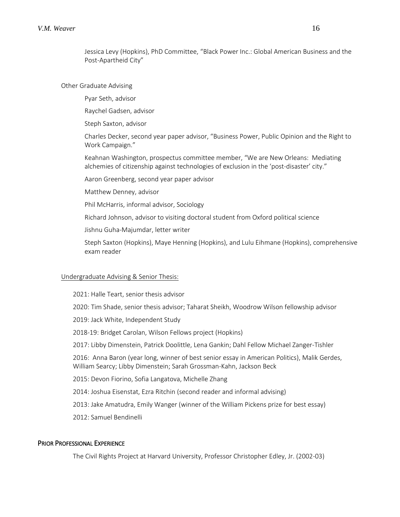Jessica Levy (Hopkins), PhD Committee, "Black Power Inc.: Global American Business and the Post-Apartheid City"

#### Other Graduate Advising

Pyar Seth, advisor

Raychel Gadsen, advisor

Steph Saxton, advisor

Charles Decker, second year paper advisor, "Business Power, Public Opinion and the Right to Work Campaign."

Keahnan Washington, prospectus committee member, "We are New Orleans: Mediating alchemies of citizenship against technologies of exclusion in the 'post-disaster' city."

Aaron Greenberg, second year paper advisor

Matthew Denney, advisor

Phil McHarris, informal advisor, Sociology

Richard Johnson, advisor to visiting doctoral student from Oxford political science

Jishnu Guha-Majumdar, letter writer

Steph Saxton (Hopkins), Maye Henning (Hopkins), and Lulu Eihmane (Hopkins), comprehensive exam reader

#### Undergraduate Advising & Senior Thesis:

2021: Halle Teart, senior thesis advisor

2020: Tim Shade, senior thesis advisor; Taharat Sheikh, Woodrow Wilson fellowship advisor

2019: Jack White, Independent Study

2018-19: Bridget Carolan, Wilson Fellows project (Hopkins)

2017: Libby Dimenstein, Patrick Doolittle, Lena Gankin; Dahl Fellow Michael Zanger-Tishler

2016: Anna Baron (year long, winner of best senior essay in American Politics), Malik Gerdes, William Searcy; Libby Dimenstein; Sarah Grossman-Kahn, Jackson Beck

2015: Devon Fiorino, Sofia Langatova, Michelle Zhang

2014: Joshua Eisenstat, Ezra Ritchin (second reader and informal advising)

2013: Jake Amatudra, Emily Wanger (winner of the William Pickens prize for best essay)

2012: Samuel Bendinelli

#### PRIOR PROFESSIONAL EXPERIENCE

The Civil Rights Project at Harvard University, Professor Christopher Edley, Jr. (2002-03)